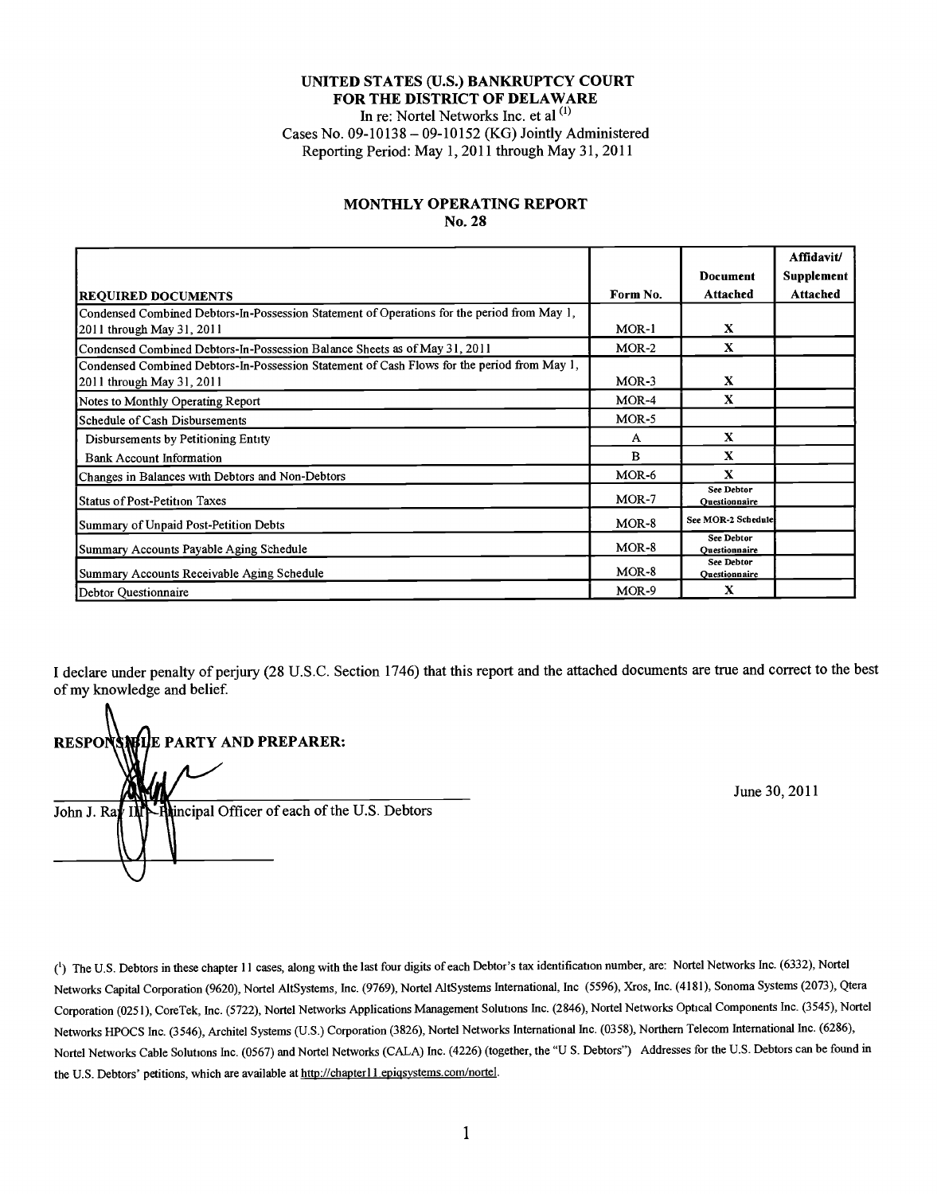#### **UNITED STATES (U.S.) BANKRUPTCY COURT FOR THE DISTRICT OF DELAWARE** In re: Nortel Networks Inc. et al **(1)** Cases No. **09-10138 - 09-10152** (KG) Jointly Administered Reporting Period: May **1,** 2011 through May **31,** 2011

#### **MONTHLY OPERATING REPORT** No. **28**

|                                                                                             |              |                                    | Affidavit/ |
|---------------------------------------------------------------------------------------------|--------------|------------------------------------|------------|
|                                                                                             |              | <b>Document</b>                    | Supplement |
| <b>REQUIRED DOCUMENTS</b>                                                                   | Form No.     | Attached                           | Attached   |
| Condensed Combined Debtors-In-Possession Statement of Operations for the period from May 1, |              |                                    |            |
| 2011 through May 31, 2011                                                                   | $MOR-1$      | X                                  |            |
| Condensed Combined Debtors-In-Possession Balance Sheets as of May 31, 2011                  | $MOR-2$      | X                                  |            |
| Condensed Combined Debtors-In-Possession Statement of Cash Flows for the period from May 1, |              |                                    |            |
| 2011 through May 31, 2011                                                                   | $MOR-3$      | X                                  |            |
| Notes to Monthly Operating Report                                                           | $MOR-4$      | X                                  |            |
| Schedule of Cash Disbursements                                                              | $MOR-5$      |                                    |            |
| Disbursements by Petitioning Entity                                                         | A            | X                                  |            |
| <b>Bank Account Information</b>                                                             | $\mathbf{B}$ | $\mathbf{x}$                       |            |
| Changes in Balances with Debtors and Non-Debtors                                            | $MOR-6$      | $\mathbf x$                        |            |
| Status of Post-Petition Taxes                                                               | $MOR-7$      | <b>See Debtor</b><br>Ouestionnaire |            |
| Summary of Unpaid Post-Petition Debts                                                       | $MOR-8$      | See MOR-2 Schedule                 |            |
| Summary Accounts Payable Aging Schedule                                                     | $MOR-8$      | <b>See Debtor</b><br>Ouestionnaire |            |
| Summary Accounts Receivable Aging Schedule                                                  | $MOR-8$      | <b>See Debtor</b><br>Ouestionnaire |            |
| Debtor Questionnaire                                                                        | $MOR-9$      | X                                  |            |

I declare under penalty of perjury **(28 U.S.C.** Section 1746) that this report and the attached documents are true and correct to the best of my knowledge and belief.

**RESPONSIBLE PARTY AND PREPARER:** John **J. Rav INN-Re**lincipal Officer of each of the U.S. Debtors

June **30,** 2011

**()The U.S.** Debtors in these chapter **I11** cases, along with the last four digits of each Debtor's tax identification number, are: Nortel Networks Ic. **(6332),** Nortel Networks Capital Corporation **(9620),** Nortel AltSystems, Inc. **(9769),** Nortel AltSystems International, Inc *(5596),* Xros, Inc. (4181), Sonoma Systems **(2073),** Qtera Corporation *(025 1),* CoreTek, Inc. *(5722),* Nortel Networks Applications Management Solutions Inc. (2846), Nortel Networks Optical Components Inc. **(3545),** Nortel Networks HPOCS Inc. (3546), Architel Systems (U.S.) Corporation (3826), Nortel Networks International Inc. (0358), Northern Telecom International Inc. (6286), Nortel Networks Cable Solutions Inc. **(0567)** and Nortel Networks **(CALA)** Inc. (4226) (together, the **"U S.** Debtors") Addresses for the **U.S.** Debtors can be found in the U.S. Debtors' petitions, which are available at http://chapter11.epigsystems.com/nortel.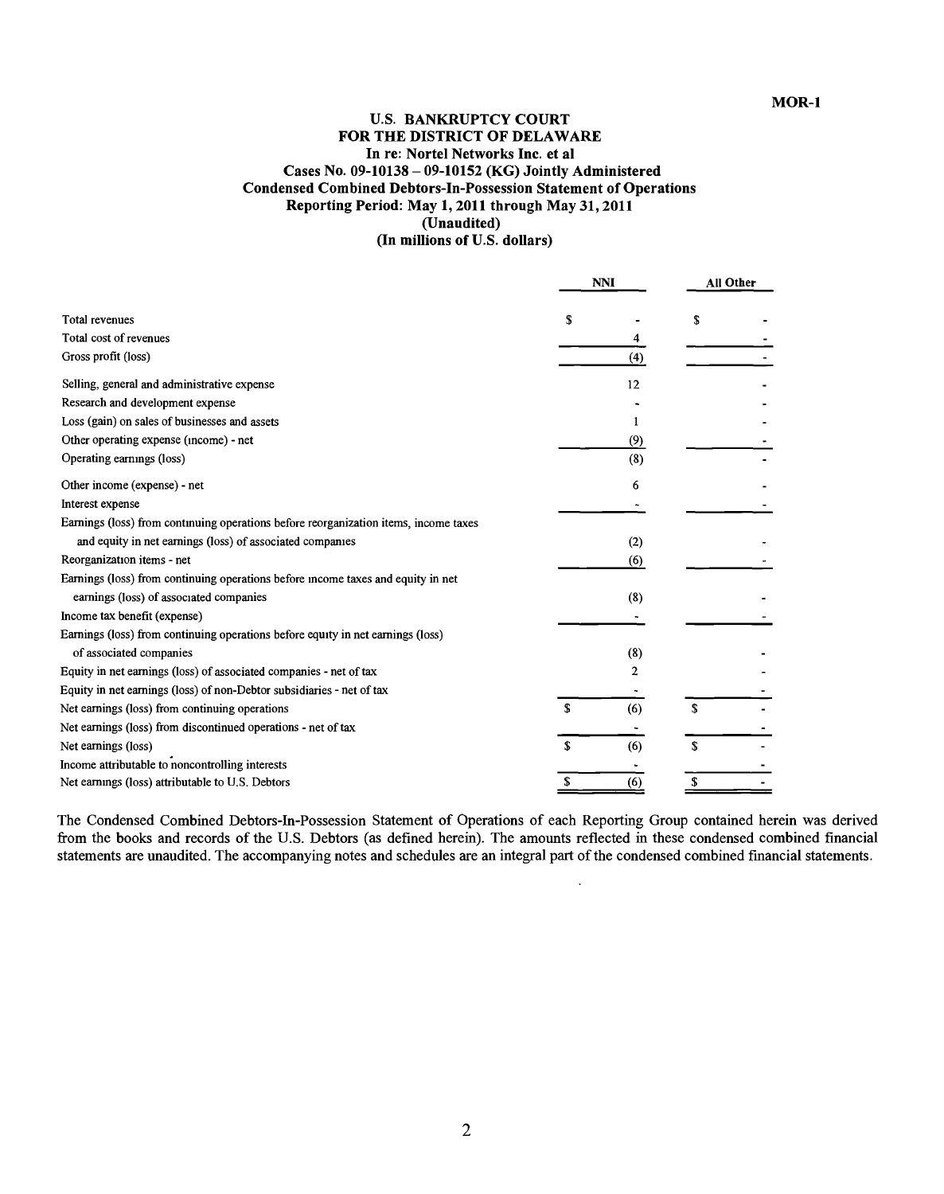# **U.S. BANKRUPTCY COURT FOR THE DISTRICT OF DELAWARE In re: Nortel Networks Inc. et al Cases No. 09-10138 - 09-10152 (KG) Jointly Administered Condensed Combined Debtors-In-Possession Statement of Operations Reporting Period: May 1, 2011 through May 31, 2011 (Unaudited)**

**(In millions of U.S. dollars)**

|                                                                                      |    | <b>NNI</b> |    | <b>All Other</b> |  |
|--------------------------------------------------------------------------------------|----|------------|----|------------------|--|
| <b>Total revenues</b>                                                                | S  |            | \$ |                  |  |
| Total cost of revenues                                                               |    | 4          |    |                  |  |
| Gross profit (loss)                                                                  |    | (4)        |    |                  |  |
| Selling, general and administrative expense                                          |    | 12         |    |                  |  |
| Research and development expense                                                     |    |            |    |                  |  |
| Loss (gain) on sales of businesses and assets                                        |    |            |    |                  |  |
| Other operating expense (income) - net                                               |    | (9)        |    |                  |  |
| Operating earnings (loss)                                                            |    | (8)        |    |                  |  |
| Other income (expense) - net                                                         |    | 6          |    |                  |  |
| Interest expense                                                                     |    |            |    |                  |  |
| Earnings (loss) from continuing operations before reorganization items, income taxes |    |            |    |                  |  |
| and equity in net earnings (loss) of associated companies                            |    | (2)        |    |                  |  |
| Reorganization items - net                                                           |    | (6)        |    |                  |  |
| Earnings (loss) from continuing operations before income taxes and equity in net     |    |            |    |                  |  |
| earnings (loss) of associated companies                                              |    | (8)        |    |                  |  |
| Income tax benefit (expense)                                                         |    |            |    |                  |  |
| Earnings (loss) from continuing operations before equity in net earnings (loss)      |    |            |    |                  |  |
| of associated companies                                                              |    | (8)        |    |                  |  |
| Equity in net earnings (loss) of associated companies - net of tax                   |    | 2          |    |                  |  |
| Equity in net earnings (loss) of non-Debtor subsidiaries - net of tax                |    |            |    |                  |  |
| Net earnings (loss) from continuing operations                                       | S  | (6)        | S  |                  |  |
| Net earnings (loss) from discontinued operations - net of tax                        |    |            |    |                  |  |
| Net earnings (loss)                                                                  | £. | (6)        | \$ |                  |  |
| Income attributable to noncontrolling interests                                      |    |            |    |                  |  |
| Net earnings (loss) attributable to U.S. Debtors                                     |    | (6)        |    |                  |  |

**The** Condensed Combined Debtors-In-Possession Statement of Operations of each Reporting Group contained herein was derived from the books and records of the **U.S.** Debtors (as defined herein). The amounts reflected in these condensed combined financial statements are unaudited. The accompanying notes and schedules are an integral part of the condensed combined financial statements.

 $\ddot{\phantom{0}}$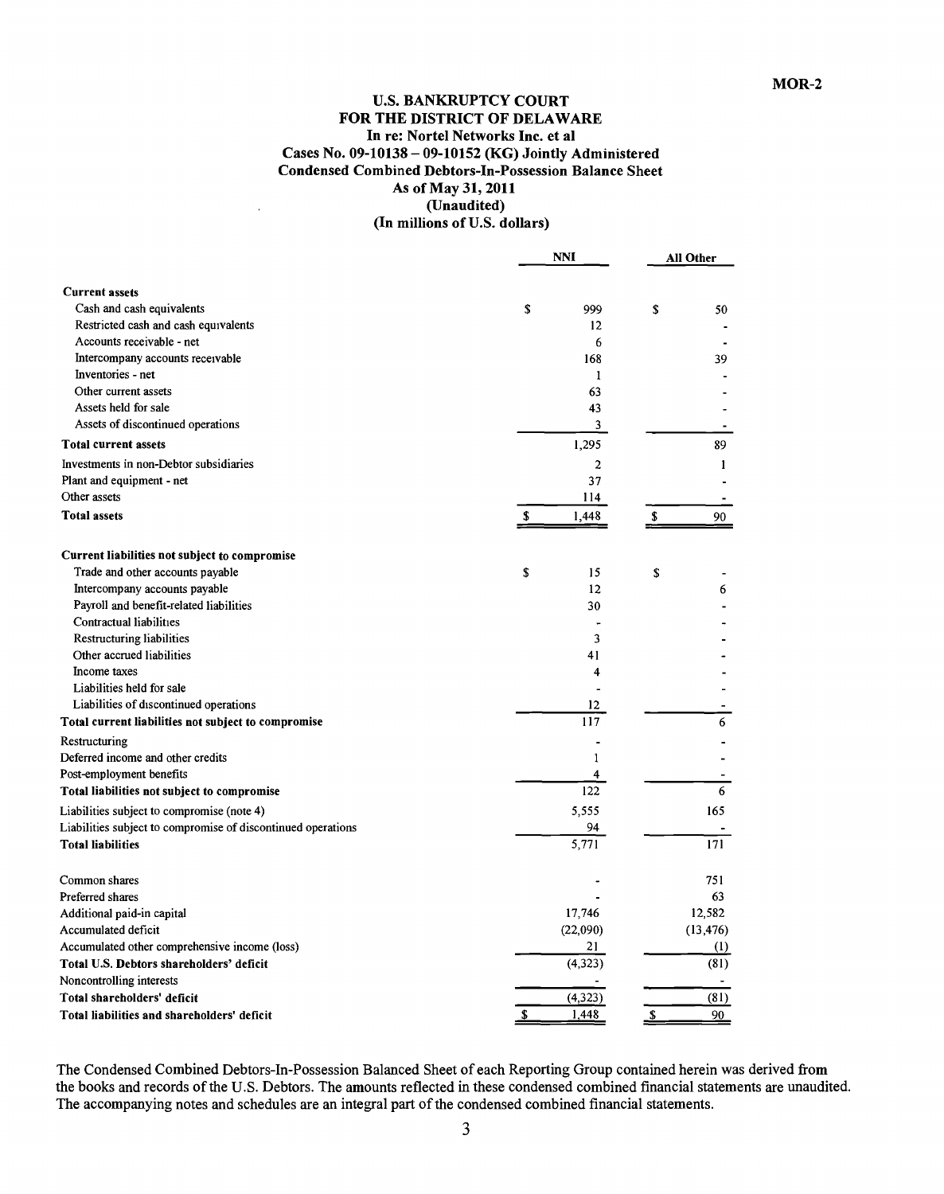## **U.S. BANKRUPTCY COURT FOR THE DISTRICT OF DELAWARE In re: Nortel Networks Inc. et al Cases No. 09-10138 - 09-10152** (KG) Jointly Administered Condensed Combined Debtors-In-Possession Balance Sheet As of May **31,** 2011 (Unaudited) (In millions of **U.S.** dollars)

|                                                              | <b>NNI</b>              | All Other        |  |
|--------------------------------------------------------------|-------------------------|------------------|--|
| <b>Current assets</b>                                        |                         |                  |  |
| Cash and cash equivalents                                    | \$<br>999               | \$<br>50         |  |
| Restricted cash and cash equivalents                         | 12                      |                  |  |
| Accounts receivable - net                                    | 6                       |                  |  |
| Intercompany accounts receivable                             | 168                     | 39               |  |
| Inventories - net                                            | 1                       |                  |  |
| Other current assets                                         | 63                      |                  |  |
| Assets held for sale                                         | 43                      |                  |  |
| Assets of discontinued operations                            | 3                       |                  |  |
| <b>Total current assets</b>                                  | 1,295                   | 89               |  |
| Investments in non-Debtor subsidiaries                       | $\boldsymbol{2}$        | $\mathbf{1}$     |  |
| Plant and equipment - net                                    | 37                      |                  |  |
| Other assets                                                 | 114                     |                  |  |
| <b>Total assets</b>                                          | \$<br>1,448             | \$<br>90         |  |
|                                                              |                         |                  |  |
| Current liabilities not subject to compromise                |                         |                  |  |
| Trade and other accounts payable                             | \$<br>15                | \$               |  |
| Intercompany accounts payable                                | 12                      | 6                |  |
| Payroll and benefit-related liabilities                      | 30                      |                  |  |
| Contractual liabilities                                      |                         |                  |  |
| Restructuring liabilities                                    | 3                       |                  |  |
| Other accrued liabilities                                    | 41                      |                  |  |
| Income taxes                                                 | 4                       |                  |  |
| Liabilities held for sale                                    |                         |                  |  |
| Liabilities of discontinued operations                       | 12<br>117               |                  |  |
| Total current liabilities not subject to compromise          |                         | 6                |  |
| Restructuring                                                |                         |                  |  |
| Deferred income and other credits                            | 1                       |                  |  |
| Post-employment benefits                                     | $\overline{\mathbf{4}}$ |                  |  |
| Total liabilities not subject to compromise                  | 122                     | 6                |  |
| Liabilities subject to compromise (note 4)                   | 5.555                   | 165              |  |
| Liabilities subject to compromise of discontinued operations | 94                      |                  |  |
| <b>Total liabilities</b>                                     | 5,771                   | 171              |  |
| Common shares                                                |                         | 751              |  |
| Preferred shares                                             |                         | 63               |  |
| Additional paid-in capital                                   | 17,746                  | 12,582           |  |
| Accumulated deficit                                          | (22,090)                | (13, 476)        |  |
| Accumulated other comprehensive income (loss)                | 21                      | $\left(1\right)$ |  |
| Total U.S. Debtors shareholders' deficit                     | (4, 323)                | (81)             |  |
| Noncontrolling interests                                     |                         |                  |  |
| Total shareholders' deficit                                  | (4, 323)                | (81)             |  |
| Total liabilities and shareholders' deficit                  | 1,448<br>\$             | \$<br>90         |  |

The Condensed Combined Debtors-In-Possession Balanced Sheet of each Reporting Group contained herein was derived from the books and records of the **U.S.** Debtors. The amounts reflected in these condensed combined financial statements are unaudited. The accompanying notes and schedules are an integral part of the condensed combined financial statements.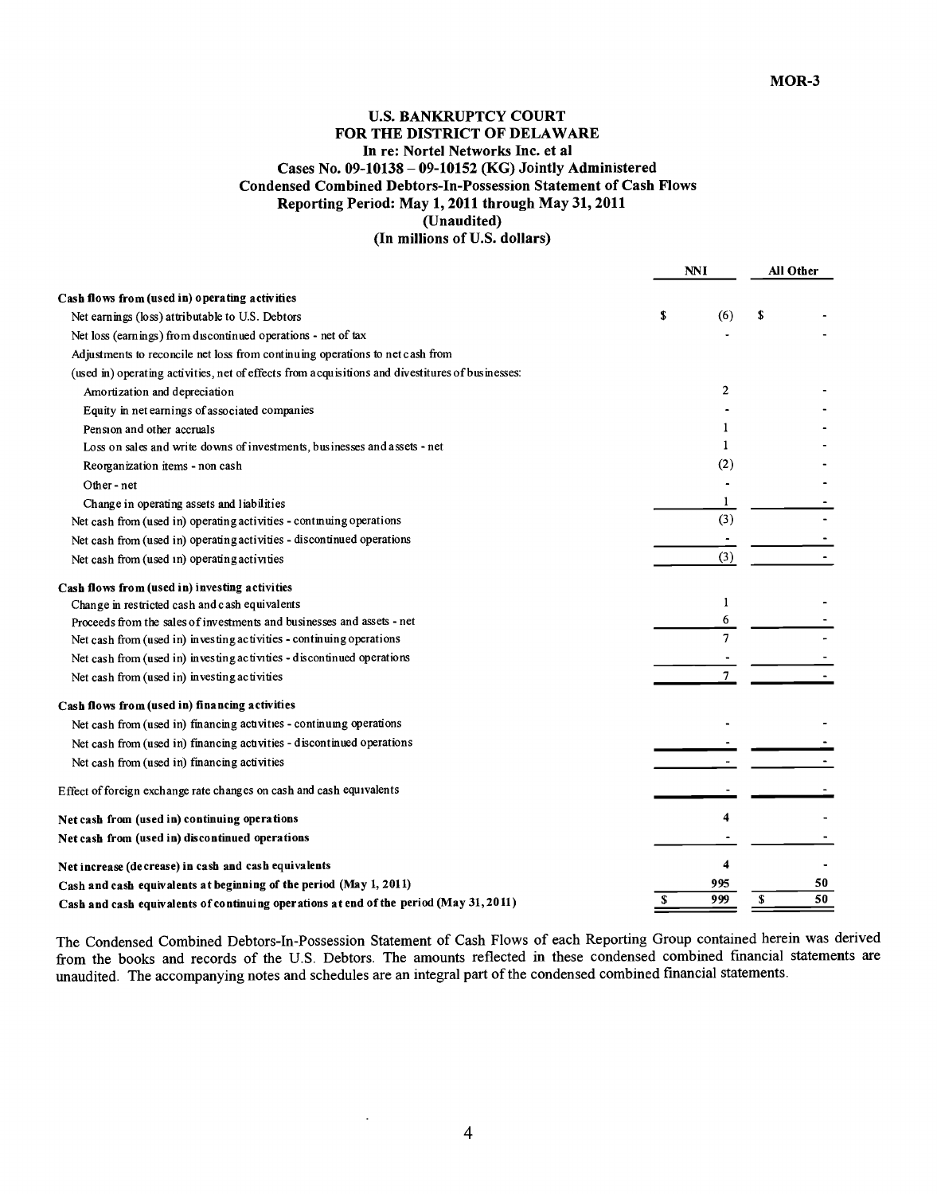# **U.S. BANKRUPTCY COURT FOR THE DISTRICT OF DELAWARE** In re: Nortel Networks Inc. et al Cases No. **09-10138 - 09-10152** (KG) Jointly Administered Condensed Combined Debtors-In-Possession Statement of Cash Flows Reporting Period: May **1,** 2011 through May **31,** 2011 (Unaudited)

**(In millions of U.S. dollars)**

|                                                                                                  | <b>NNI</b> |                | All Other |
|--------------------------------------------------------------------------------------------------|------------|----------------|-----------|
| Cash flows from (used in) operating activities                                                   |            |                |           |
| Net earnings (loss) attributable to U.S. Debtors                                                 | \$         | (6)            | \$        |
| Net loss (earnings) from discontinued operations - net of tax                                    |            |                |           |
| Adjustments to reconcile net loss from continuing operations to net cash from                    |            |                |           |
| (used in) operating activities, net of effects from acquisitions and divestitures of businesses: |            |                |           |
| Amortization and depreciation                                                                    |            | $\mathbf{2}$   |           |
| Equity in net earnings of associated companies                                                   |            |                |           |
| Pension and other accruals                                                                       |            | 1              |           |
| Loss on sales and write downs of investments, businesses and assets - net                        |            | 1              |           |
| Reorganization items - non cash                                                                  |            | (2)            |           |
| Other - net                                                                                      |            |                |           |
| Change in operating assets and liabilities                                                       |            | 1              |           |
| Net cash from (used in) operating activities - continuing operations                             |            | (3)            |           |
| Net cash from (used in) operating activities - discontinued operations                           |            |                |           |
| Net cash from (used in) operating activities                                                     |            | (3)            |           |
| Cash flows from (used in) investing activities                                                   |            |                |           |
| Change in restricted cash and cash equivalents                                                   |            | 1              |           |
| Proceeds from the sales of investments and businesses and assets - net                           |            | 6              |           |
| Net cash from (used in) investing activities - continuing operations                             |            | $\overline{7}$ |           |
| Net cash from (used in) investing activities - discontinued operations                           |            |                |           |
| Net cash from (used in) investing activities                                                     |            | 7              |           |
| Cash flows from (used in) financing activities                                                   |            |                |           |
| Net cash from (used in) financing activities - continuing operations                             |            |                |           |
| Net cash from (used in) financing activities - discontinued operations                           |            |                |           |
| Net cash from (used in) financing activities                                                     |            |                |           |
| Effect of foreign exchange rate changes on cash and cash equivalents                             |            |                |           |
| Net cash from (used in) continuing operations                                                    |            |                |           |
| Net cash from (used in) discontinued operations                                                  |            |                |           |
| Net increase (decrease) in cash and cash equivalents                                             |            | 4              |           |
| Cash and cash equivalents at beginning of the period (May 1, 2011)                               |            | 995            | 50        |
| Cash and cash equivalents of continuing operations at end of the period (May 31, 2011)           | S.         | 999            | 50<br>S   |

The Condensed Combined Debtors-In-Possession Statement of Cash Flows of each Reporting Group contained herein was derived from the books and records of the U.S. Debtors. The amounts reflected in these condensed combined financial statements are unaudited. The accompanying notes and schedules are an integral part of the condensed combined financial statements.

÷,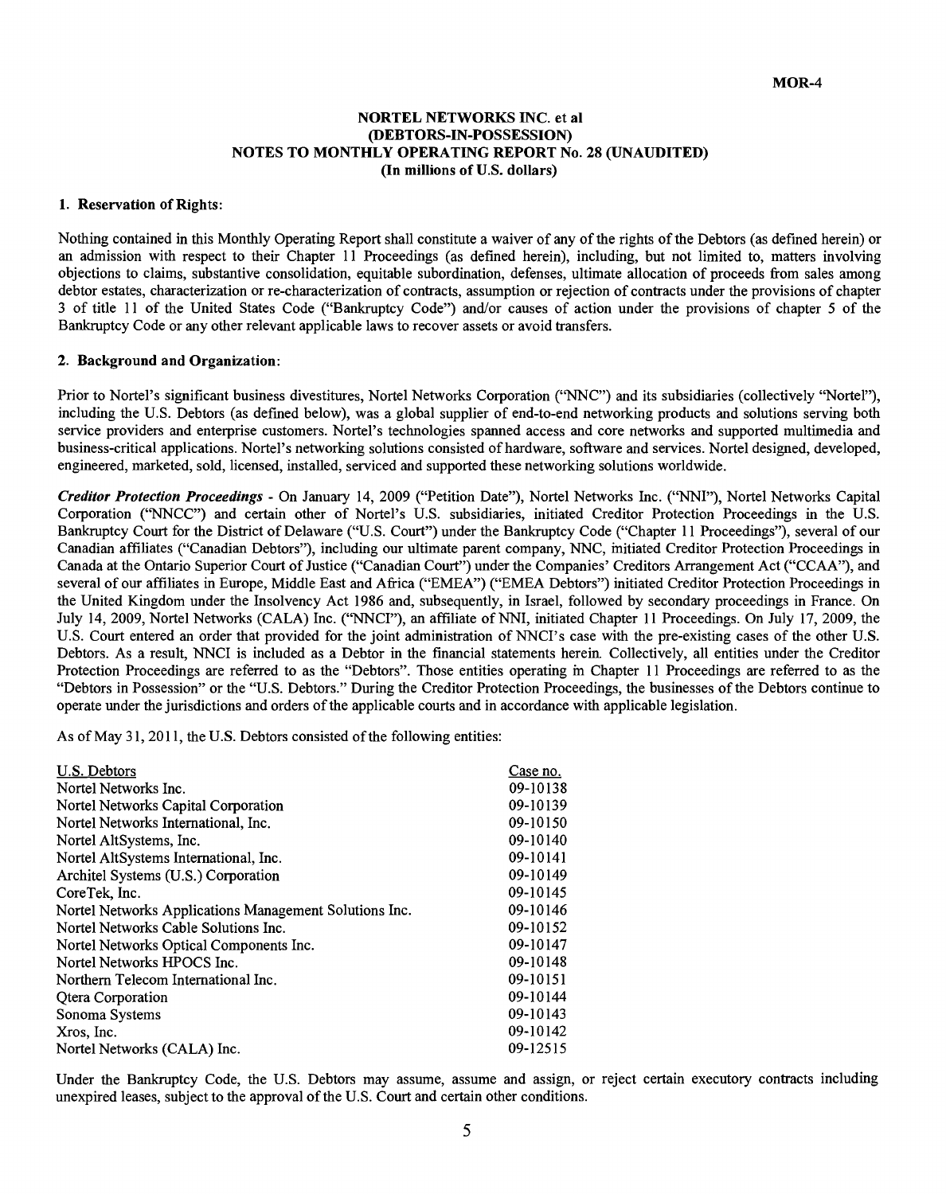#### **NORTEL NETWORKS INC. et al (DEBTORS-IN-POSSESSION) NOTES TO MONTHLY OPERATING REPORT No. 28 (UNAUDITED) (In millions of U.S. dollars)**

#### **1. Reservation of Rights:**

Nothing contained in this Monthly Operating Report shall constitute a waiver of any of the rights of the Debtors (as defined herein) or an admission with respect to their Chapter 11 Proceedings (as defined herein), including, but not limited to, matters involving objections to claims, substantive consolidation, equitable subordination, defenses, ultimate allocation of proceeds from sales among debtor estates, characterization or re-characterization of contracts, assumption or rejection of contracts under the provisions of chapter **3** of title **I11** of the United States Code ("Bankruptcy Code") and/or causes of action under the provisions of chapter **5** of the Bankruptcy Code or any other relevant applicable laws to recover assets or avoid transfers.

#### 2. Background **and Organization:**

Prior to Nortel's significant business divestitures, Nortel Networks Corporation **("NNC")** and its subsidiaries (collectively "Nortel"), including the **U.S.** Debtors (as defined below), was a global supplier of end-to-end networking products and solutions serving both service providers and enterprise customers. Nortel's technologies spanned access and core networks and supported multimedia and business-critical applications. Nortel's networking solutions consisted of hardware, software and services. Nortel designed, developed, engineered, marketed, sold, licensed, installed, serviced and supported these networking solutions worldwide.

*Creditor Protection Proceedings* **-** On January 14, **2009** ("Petition Date"), Nortel Networks Inc. ("NMI"), Nortel Networks Capital Corporation **("NNCC")** and certain other of Nortel's **U.S.** subsidiaries, initiated Creditor Protection Proceedings in the **U.S.** Bankruptcy Court for the District of Delaware **("U.S.** Court") under the Bankruptcy Code ("Chapter **11** Proceedings"), several of our Canadian affiliates ("Canadian Debtors"), including our ultimate parent company, **NNC,** initiated Creditor Protection Proceedings in Canada at the Ontario Superior Court of Justice ("Canadian Court") under the Companies' Creditors Arrangement Act **("CCAA"),** and several of our affiliates in Europe, Middle East and Africa **("EMEA") ("EMEA** Debtors") initiated Creditor Protection Proceedings in the United Kingdom under the Insolvency Act **1986** and, subsequently, in Israel, followed **by** secondary proceedings in France. On July 14, **2009,** Nortel Networks **(CALA)** Inc. ("NNCI"), an affiliate of **NMI,** initiated Chapter **11I** Proceedings. On July **17, 2009,** the **U.S.** Court entered an order that provided for the joint administration of NNCI's case with the pre-existing cases of the other **U.S.** Debtors. As a result, **NNCI** is included as a Debtor in the financial statements herein Collectively, all entities under the Creditor Protection Proceedings are referred to as the "Debtors". Those entities operating in Chapter 11 Proceedings are referred to as the "Debtors in Possession" or the **"U.S.** Debtors." During the Creditor Protection Proceedings, the businesses of the Debtors continue to operate under the jurisdictions and orders of the applicable courts and in accordance with applicable legislation.

As of May **3 1, 2011,** the **U.S.** Debtors consisted of the following entities:

| U.S. Debtors                                           | Case no. |
|--------------------------------------------------------|----------|
| Nortel Networks Inc.                                   | 09-10138 |
| Nortel Networks Capital Corporation                    | 09-10139 |
| Nortel Networks International, Inc.                    | 09-10150 |
| Nortel AltSystems, Inc.                                | 09-10140 |
| Nortel AltSystems International, Inc.                  | 09-10141 |
| Architel Systems (U.S.) Corporation                    | 09-10149 |
| CoreTek, Inc.                                          | 09-10145 |
| Nortel Networks Applications Management Solutions Inc. | 09-10146 |
| Nortel Networks Cable Solutions Inc.                   | 09-10152 |
| Nortel Networks Optical Components Inc.                | 09-10147 |
| Nortel Networks HPOCS Inc.                             | 09-10148 |
| Northern Telecom International Inc.                    | 09-10151 |
| <b>Qtera Corporation</b>                               | 09-10144 |
| Sonoma Systems                                         | 09-10143 |
| Xros, Inc.                                             | 09-10142 |
| Nortel Networks (CALA) Inc.                            | 09-12515 |

Under the Bankruptcy Code, the **U.S.** Debtors may assume, assume and assign, or reject certain executory contracts including unexpired leases, subject to the approval of the **U.S.** Court and certain other conditions.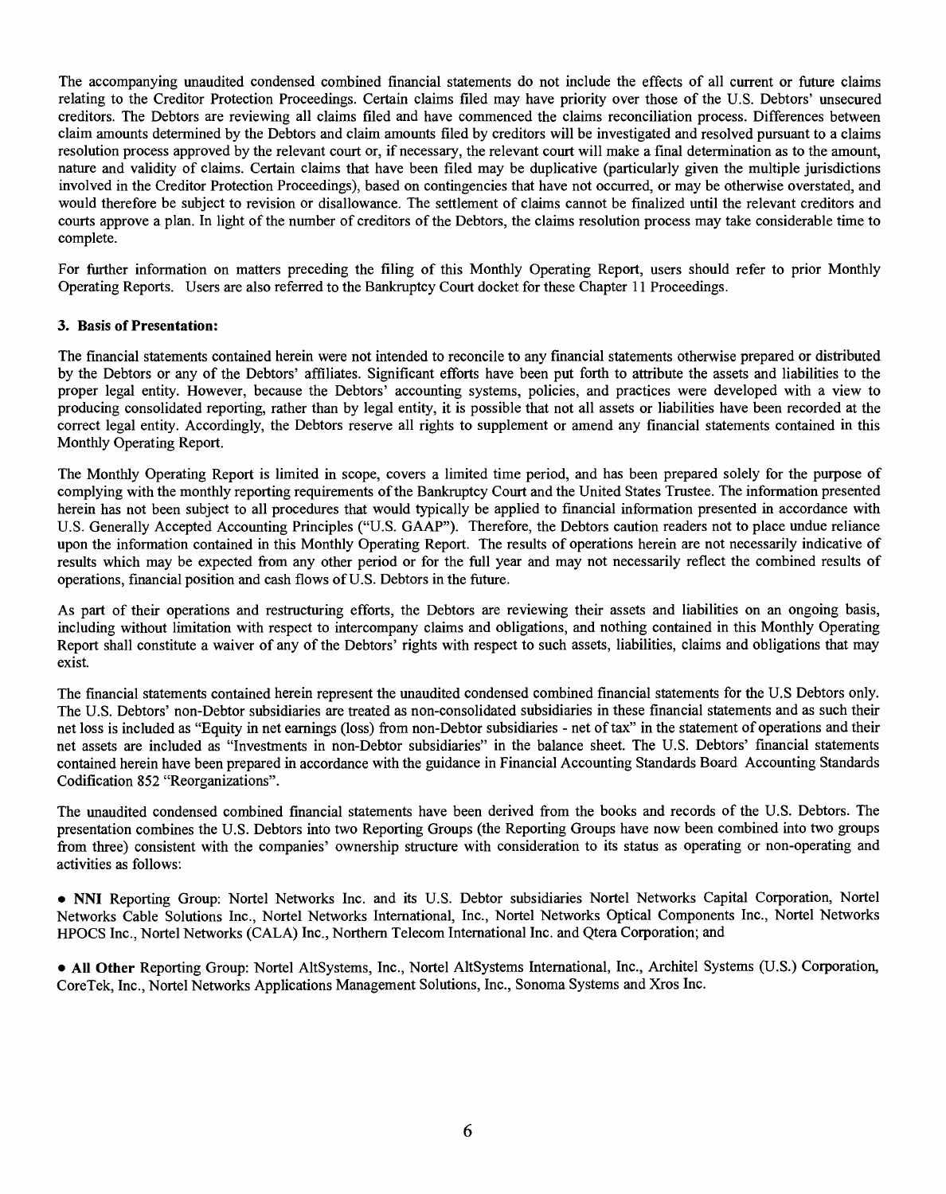The accompanying unaudited condensed combined financial statements do not include the effects of all current or future claims relating to the Creditor Protection Proceedings. Certain claims filed may have priority over those of the **U.S.** Debtors' unsecured creditors. The Debtors are reviewing all claims filed and have commenced the claims reconciliation process. Differences between claim amounts determined **by** the Debtors and claim amounts filed **by** creditors will be investigated and resolved pursuant to a claims resolution process approved **by** the relevant court or, if necessary, the relevant court will make a final determination as to the amount, nature and validity of claims. Certain claims that have been filed may be duplicative (particularly given the multiple jurisdictions involved in the Creditor Protection Proceedings), based on contingencies that have not occurred, or may be otherwise overstated, and would therefore be subject to revision or disallowance. The settlement of claims cannot be finalized until the relevant creditors and courts approve a plan. In light of the number of creditors of the Debtors, the claims resolution process may take considerable time to complete.

For further information on matters preceding the filing of this Monthly Operating Report, users should refer to prior Monthly Operating Reports. Users are also referred to the Bankruptcy Court docket for these Chapter **11I** Proceedings.

## **3.** Basis of Presentation:

The financial statements contained herein were not intended to reconcile to any financial statements otherwise prepared or distributed **by** the Debtors or any of the Debtors' affiliates. Significant efforts have been put forth to attribute the assets and liabilities to the proper legal entity. However, because the Debtors' accounting systems, policies, and practices were developed with a view to producing consolidated reporting, rather than **by** legal entity, it is possible that not all assets or liabilities have been recorded at the correct legal entity. Accordingly, the Debtors reserve all rights to supplement or amend any financial statements contained in this Monthly Operating Report.

The Monthly Operating Report is limited in scope, covers a limited time period, and has been prepared solely for the purpose of complying with the monthly reporting requirements of the Bankruptcy Court and the United States Trustee. The information presented herein has not been subject to all procedures that would typically be applied to financial information presented in accordance with **U.S.** Generally Accepted Accounting Principles **("U.S. GAAP").** Therefore, the Debtors caution readers not to place undue reliance upon the information contained in this Monthly Operating Report. The results of operations herein are not necessarily indicative of results which may be expected from any other period or for the full year and may not necessarily reflect the combined results of operations, financial position and cash flows of **U.S.** Debtors in the future.

As part of their operations and restructuring efforts, the Debtors are reviewing their assets and liabilities on an ongoing basis, including without limitation with respect to intercompany claims and obligations, and nothing contained in this Monthly Operating Report shall constitute a waiver of any of the Debtors' rights with respect to such assets, liabilities, claims and obligations that may exist.

The financial statements contained herein represent the unaudited condensed combined financial statements for the **U.S** Debtors only. The **U.S.** Debtors' non-Debtor subsidiaries are treated as non-consolidated subsidiaries in these financial statements and as such their net loss is included as "Equity in net eamnings (loss) from non-Debtor subsidiaries **-** net of tax" in the statement of operations and their net assets are included as "Investments in non-Debtor subsidiaries" in the balance sheet. The **U.S.** Debtors' financial statements contained herein have been prepared in accordance with the guidance in Financial Accounting Standards Board Accounting Standards Codification **852** "Reorganizations".

The unaudited condensed combined financial statements have been derived from the books and records of the **U.S.** Debtors. The presentation combines the **U.S.** Debtors into two Reporting Groups (the Reporting Groups have now been combined into two groups from three) consistent with the companies' ownership structure with consideration to its status as operating or non-operating and activities as follows:

**\* NNI** Reporting Group: Nortel Networks Inc. and its **U.S.** Debtor subsidiaries Nortel Networks Capital Corporation, Nortel Networks Cable Solutions Inc., Nortel Networks International, Inc., Nortel Networks Optical Components Inc., Nortel Networks **HPOCS** Inc., Nortel Networks **(CALA)** Inc., Northern Telecom International Inc. and Qtera Corporation; and

**\* All Other** Reporting Group: Nortel AltSystems, Inc., Nortel AltSystems International, Inc., Architel Systems **(U.S.)** Corporation, CoreTek, Inc., Nortel Networks Applications Management Solutions, Inc., Sonoma Systems and Xros Inc.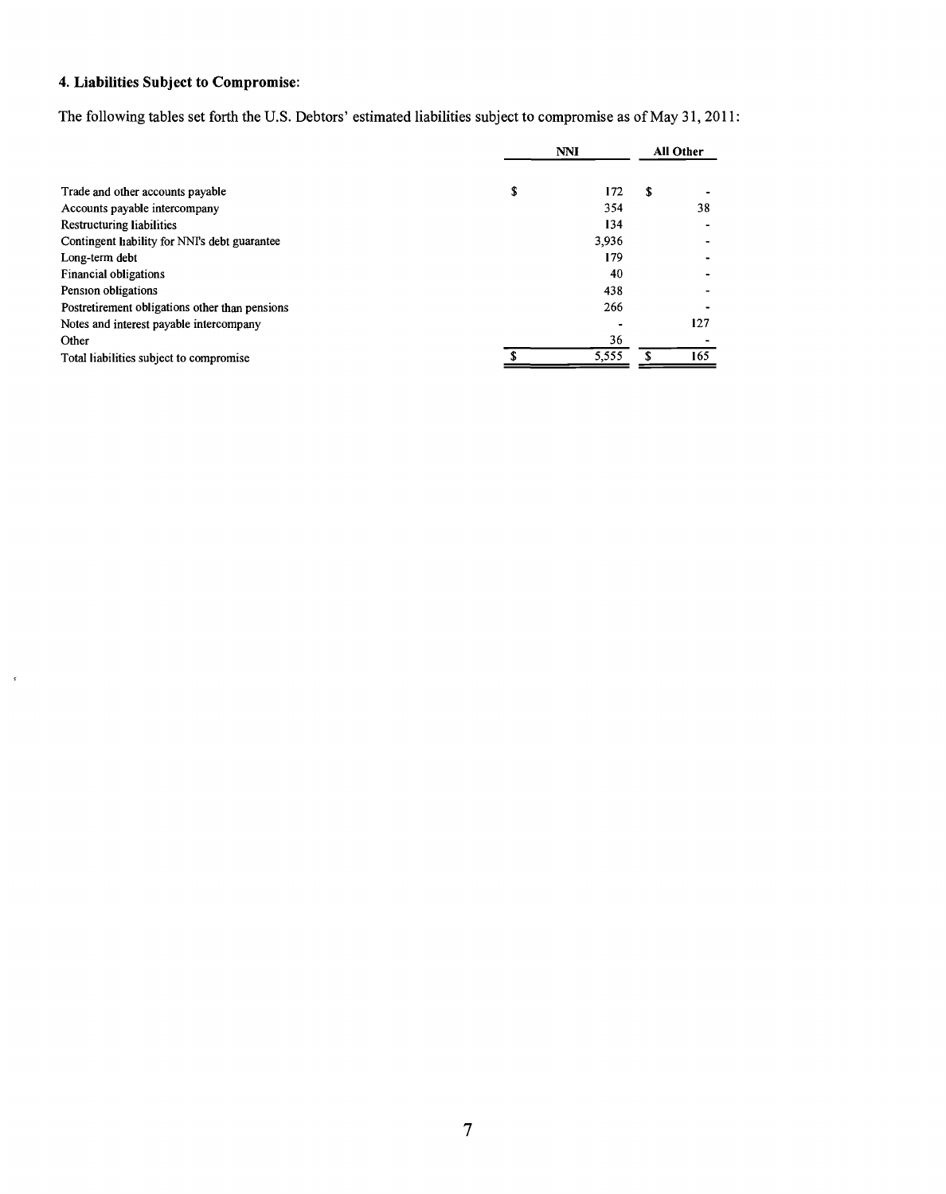# 4. Liabilities Subject to Compromise:

 $\tilde{\mathbf{z}}$ 

The following tables set forth the **U.S.** Debtors' estimated liabilities subject to compromise as of May **31, 2011:**

|                                                | <b>NNI</b> |       | <b>All Other</b> |     |
|------------------------------------------------|------------|-------|------------------|-----|
|                                                |            |       |                  |     |
| Trade and other accounts payable               | \$         | 172   | S                |     |
| Accounts payable intercompany                  |            | 354   |                  | 38  |
| Restructuring liabilities                      |            | 134   |                  |     |
| Contingent Irability for NNI's debt guarantee  |            | 3.936 |                  |     |
| Long-term debt                                 |            | 179   |                  |     |
| <b>Financial obligations</b>                   |            | 40    |                  |     |
| Pension obligations                            |            | 438   |                  |     |
| Postretirement obligations other than pensions |            | 266   |                  |     |
| Notes and interest payable intercompany        |            |       |                  | 127 |
| Other                                          |            | 36    |                  |     |
| Total liabilities subject to compromise        |            | 5,555 |                  | 165 |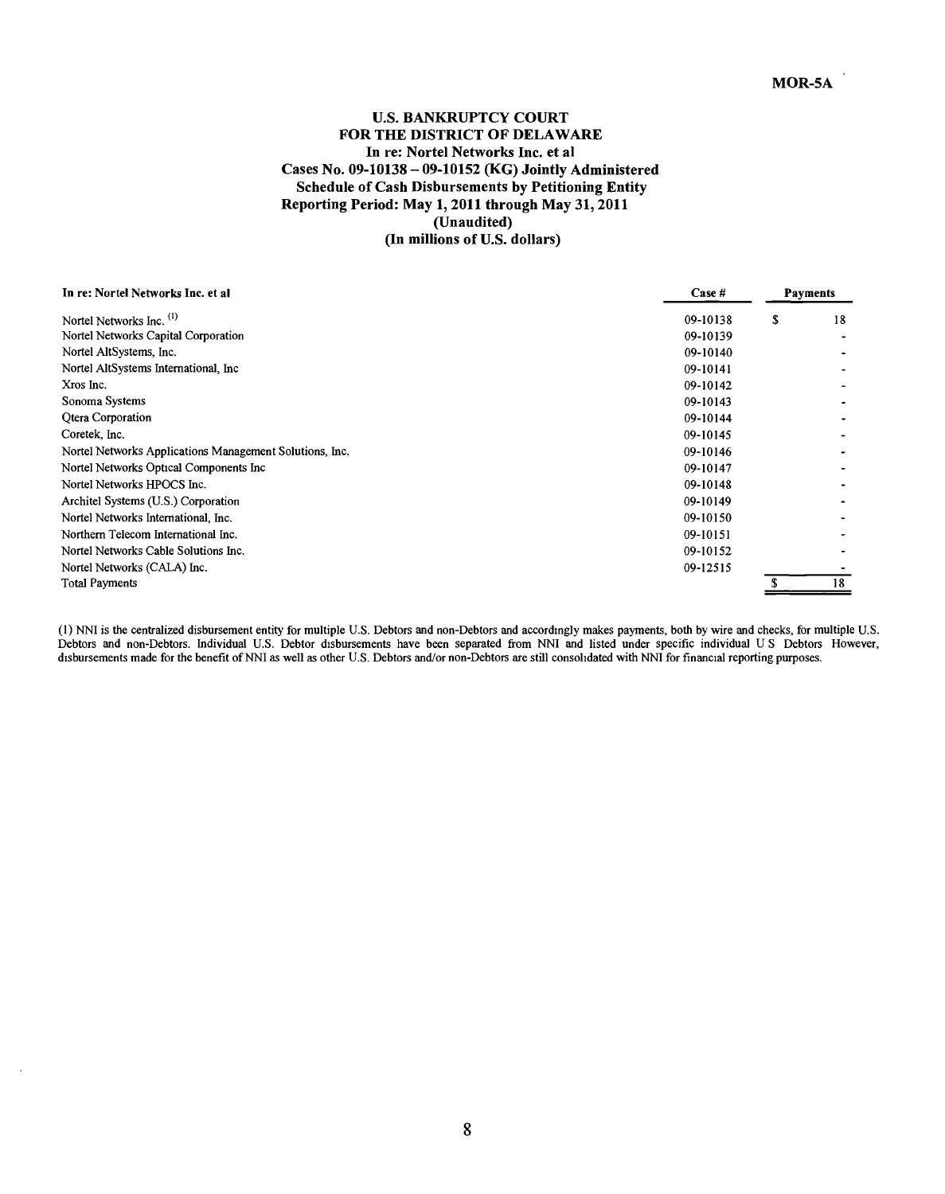## **U.S. BANKRUPTCY COURT FOR THE DISTRICT OF DELAWARE** In re: Nortel Networks Inc. et al Cases No. **09-10138 - 09-10152** (KG) Jointly Administered Schedule of Cash Disbursements **by** Petitioning Entity Reporting Period: May **1,** 2011 through May **31,** 2011 (Unaudited) **(In millions of U.S. dollars)**

| In re: Nortel Networks Inc. et al                       | Case H   | <b>Payments</b> |
|---------------------------------------------------------|----------|-----------------|
| Nortel Networks Inc. <sup>(1)</sup>                     | 09-10138 | \$<br>18        |
| Nortel Networks Capital Corporation                     | 09-10139 |                 |
| Nortel AltSystems, Inc.                                 | 09-10140 |                 |
| Nortel AltSystems International, Inc.                   | 09-10141 |                 |
| Xros Inc.                                               | 09-10142 |                 |
| Sonoma Systems                                          | 09-10143 |                 |
| <b>Qtera Corporation</b>                                | 09-10144 |                 |
| Coretek, Inc.                                           | 09-10145 |                 |
| Nortel Networks Applications Management Solutions, Inc. | 09-10146 |                 |
| Nortel Networks Optical Components Inc                  | 09-10147 |                 |
| Nortel Networks HPOCS Inc.                              | 09-10148 |                 |
| Architel Systems (U.S.) Corporation                     | 09-10149 |                 |
| Nortel Networks International, Inc.                     | 09-10150 |                 |
| Northern Telecom International Inc.                     | 09-10151 |                 |
| Nortel Networks Cable Solutions Inc.                    | 09-10152 |                 |
| Nortel Networks (CALA) Inc.                             | 09-12515 |                 |
| <b>Total Payments</b>                                   |          | 18              |

**(1) NNI** is the centralized disbursement entity for multiple **U.S.** Debtors and non-Debtors and accordingly makes payments, both **by** wire and checks, for multiple **U.S.** Debtors and non-Debtors. Individual **U.S.** Debtor disbursements have been separated from **NNI** and listed under specific individual **U S** Debtors However, disbursements made for the benefit of NNI as well as other U.S. Debtors and/or non-Debtors are still consolidated with NNI for financial reporting purposes.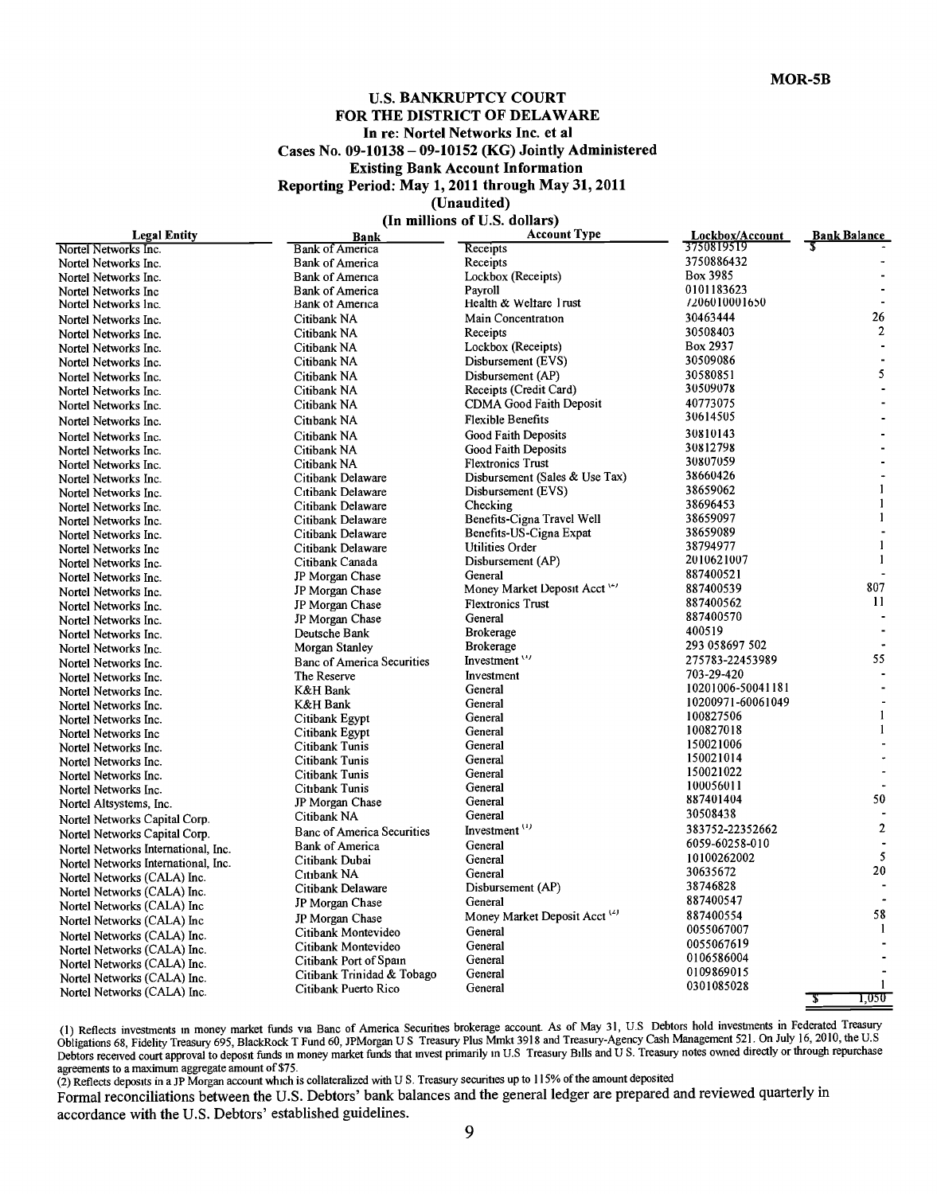## **U.S. BANKRUPTCY COURT FOR THE DISTRICT OF DELAWARE In re: Nortel Networks Inc. et al Cases No. 09-10138 - 09-10152 (KG) Jointly Administered Existing Bank Account Information Reporting Period: May 1, 2011 through May 31, 2011 (Unaudited)**

**(In millions of U.S. dollars)**

| <b>Legal Entity</b>                 | Bank                              | <b>Account Type</b>                      | Lockbox/Account   | Bank Balance   |
|-------------------------------------|-----------------------------------|------------------------------------------|-------------------|----------------|
| Nortel Networks Inc.                | <b>Bank of America</b>            | Receipts                                 | 3750819519        |                |
| Nortel Networks Inc.                | <b>Bank of America</b>            | Receipts                                 | 3750886432        |                |
| Nortel Networks Inc.                | <b>Bank of America</b>            | Lockbox (Receipts)                       | Box 3985          |                |
| Nortel Networks Inc                 | <b>Bank of America</b>            | Pavroll                                  | 0101183623        |                |
| Nortel Networks Inc.                | Bank of America                   | Health & Weltare I rust                  | 7206010001650     |                |
| Nortel Networks Inc.                | Citibank NA                       | Main Concentration                       | 30463444          | 26             |
| Nortel Networks Inc.                | Citibank NA                       | Receipts                                 | 30508403          | $\overline{c}$ |
| Nortel Networks Inc.                | Citibank NA                       | Lockbox (Receipts)                       | Box 2937          |                |
| Nortel Networks Inc.                | Citibank NA                       | Disbursement (EVS)                       | 30509086          |                |
| Nortel Networks Inc.                | Citibank NA                       | Disbursement (AP)                        | 30580851          | 5              |
| Nortel Networks Inc.                | Citibank NA                       | Receipts (Credit Card)                   | 30509078          |                |
| Nortel Networks Inc.                | Citibank NA                       | <b>CDMA Good Faith Deposit</b>           | 40773075          |                |
| Nortel Networks Inc.                | Citibank NA                       | <b>Flexible Benefits</b>                 | 30614505          |                |
| Nortel Networks Inc.                | Citibank NA                       | <b>Good Faith Deposits</b>               | 30810143          |                |
| Nortel Networks Inc.                | Citibank NA                       | Good Faith Deposits                      | 30812798          |                |
| Nortel Networks Inc.                | Citibank NA                       | <b>Flextronics Trust</b>                 | 30807059          |                |
| Nortel Networks Inc.                | Citibank Delaware                 | Disbursement (Sales & Use Tax)           | 38660426          |                |
| Nortel Networks Inc.                | Citibank Delaware                 | Disbursement (EVS)                       | 38659062          | $\mathbf{1}$   |
| Nortel Networks Inc.                | Citibank Delaware                 | Checking                                 | 38696453          | $\mathbf{1}$   |
| Nortel Networks Inc.                | Citibank Delaware                 | Benefits-Cigna Travel Well               | 38659097          | $\mathbf{1}$   |
| Nortel Networks Inc.                | Citibank Delaware                 | Benefits-US-Cigna Expat                  | 38659089          |                |
| Nortel Networks Inc.                | Citibank Delaware                 | Utilities Order                          | 38794977          | $\mathbf{1}$   |
| Nortel Networks Inc.                | Citibank Canada                   | Disbursement (AP)                        | 2010621007        | $\mathbf{1}$   |
| Nortel Networks Inc.                | JP Morgan Chase                   | General                                  | 887400521         |                |
| Nortel Networks Inc.                | JP Morgan Chase                   | Money Market Deposit Acct '-'            | 887400539         | 807            |
| Nortel Networks Inc.                | JP Morgan Chase                   | <b>Flextronics Trust</b>                 | 887400562         | 11             |
|                                     | JP Morgan Chase                   | General                                  | 887400570         | ÷              |
| Nortel Networks Inc.                |                                   | <b>Brokerage</b>                         | 400519            |                |
| Nortel Networks Inc.                | Deutsche Bank<br>Morgan Stanley   | <b>Brokerage</b>                         | 293 058697 502    |                |
| Nortel Networks Inc.                | <b>Banc of America Securities</b> | Investment $'$                           | 275783-22453989   | 55             |
| Nortel Networks Inc.                | The Reserve                       | Investment                               | 703-29-420        |                |
| Nortel Networks Inc.                |                                   | General                                  | 10201006-50041181 |                |
| Nortel Networks Inc.                | K&H Bank                          |                                          | 10200971-60061049 |                |
| Nortel Networks Inc.                | K&H Bank                          | General<br>General                       | 100827506         | $\mathbf{1}$   |
| Nortel Networks Inc.                | Citibank Egypt                    |                                          | 100827018         | $\mathbf{1}$   |
| Nortel Networks Inc                 | Citibank Egypt                    | General<br>General                       | 150021006         |                |
| Nortel Networks Inc.                | Citibank Tunis                    |                                          | 150021014         |                |
| Nortel Networks Inc.                | Citibank Tunis                    | General                                  | 150021022         |                |
| Nortel Networks Inc.                | Citibank Tunis                    | General<br>General                       | 100056011         |                |
| Nortel Networks Inc.                | Citibank Tunis                    |                                          | 887401404         | 50             |
| Nortel Altsystems, Inc.             | JP Morgan Chase                   | General                                  | 30508438          |                |
| Nortel Networks Capital Corp.       | Citibank NA                       | General                                  |                   | $\mathbf{2}$   |
| Nortel Networks Capital Corp.       | <b>Banc of America Securities</b> | Investment <sup>(1)</sup>                | 383752-22352662   |                |
| Nortel Networks International, Inc. | <b>Bank of America</b>            | General                                  | 6059-60258-010    | 5              |
| Nortel Networks International, Inc. | Citibank Dubai                    | General                                  | 10100262002       | 20             |
| Nortel Networks (CALA) Inc.         | Citibank NA                       | General                                  | 30635672          |                |
| Nortel Networks (CALA) Inc.         | Citibank Delaware                 | Disbursement (AP)                        | 38746828          |                |
| Nortel Networks (CALA) Inc          | JP Morgan Chase                   | General                                  | 887400547         |                |
| Nortel Networks (CALA) Inc          | JP Morgan Chase                   | Money Market Deposit Acct <sup>(2)</sup> | 887400554         | 58             |
| Nortel Networks (CALA) Inc.         | Citibank Montevideo               | General                                  | 0055067007        | 1              |
| Nortel Networks (CALA) Inc.         | Citibank Montevideo               | General                                  | 0055067619        |                |
| Nortel Networks (CALA) Inc.         | Citibank Port of Spain            | General                                  | 0106586004        |                |
| Nortel Networks (CALA) Inc.         | Citibank Trinidad & Tobago        | General                                  | 0109869015        |                |
| Nortel Networks (CALA) Inc.         | Citibank Puerto Rico              | General                                  | 0301085028        | 1              |
|                                     |                                   |                                          |                   | 1,050<br>उ     |

**(1)** Reflects investments in money market funds via Banc of America Securities brokerage account. As of May **31, U.S** Debtors hold investments in Federated Treasury Obligations **68,** Fidelity Treasury **695,** BlackRock T Fund **60,** JPMorgan **U S** Treasury Plus Mmkt **3918** and Treasury-Agency Cash Management **521.** On July **16,** 2010, the **U.S** Debtors received court approval to deposit funds in money market funds that invest primarily in **U.S** Treasury Bills and **U S.** Treasury notes owned directly or through repurchase

agreements to a maximum aggregate amount of *\$75.* (2) Reflects deposits in a **JP** Morgan account which is collateralized with **U S.** Treasury securities up to **115%** of the amount deposited

Formal reconciliations between the **U.S.** Debtors' bank balances and the general ledger are prepared and reviewed quarterly in accordance with the **U.S.** Debtors' established guidelines.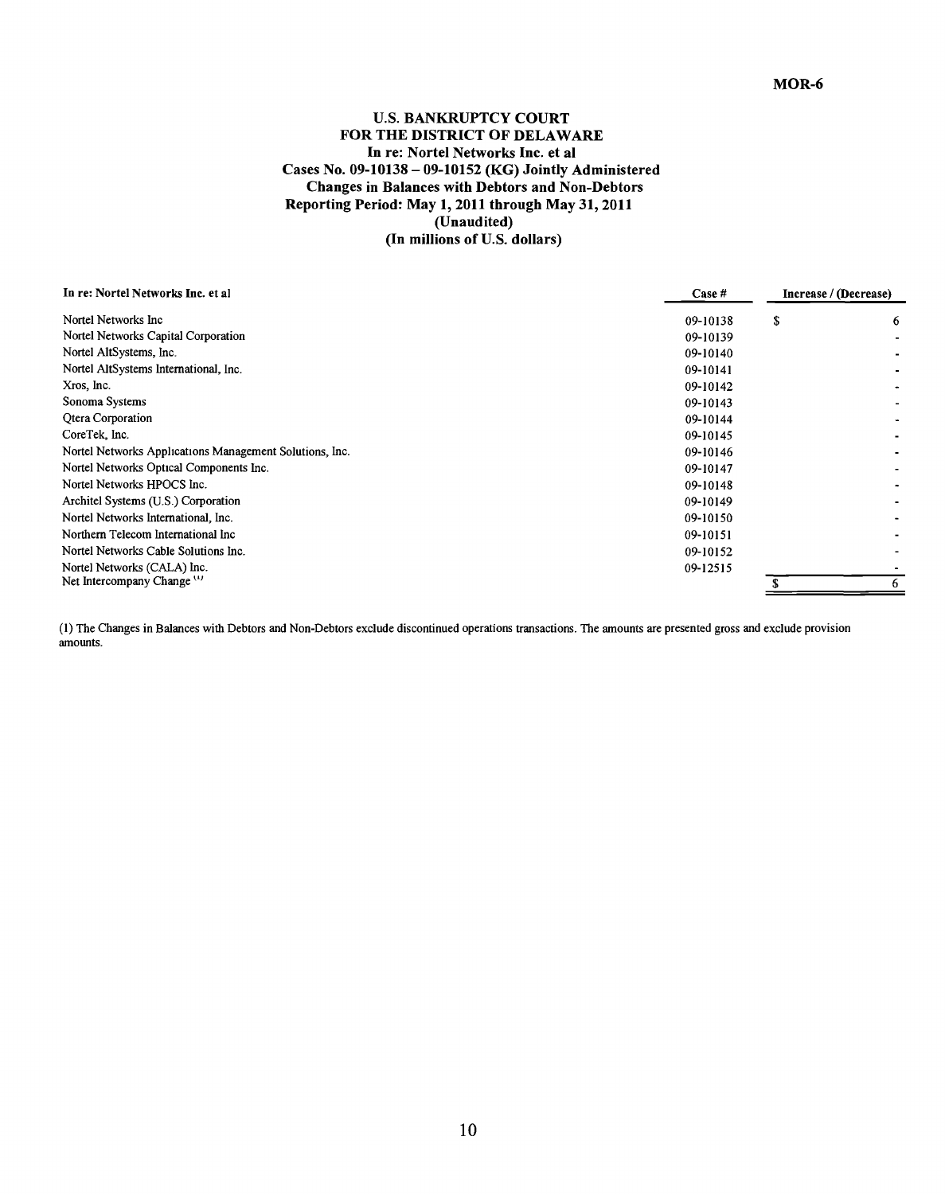## **U.S. BANKRUPTCY COURT FOR THE DISTRICT OF DELAWARE** In re: Nortel Networks Inc. et al Cases No. **09-10138 - 09-10152** (KG) Jointly Administered Changes in Balances with Debtors and Non-Debtors Reporting Period: May **1,** 2011 through May **31,** 2011 (Unaudited) **(In millions of U.S. dollars)**

| In re: Nortel Networks Inc. et al.                      | Case #   | Increase / (Decrease) |   |
|---------------------------------------------------------|----------|-----------------------|---|
| Nortel Networks Inc.                                    | 09-10138 | \$                    | 6 |
| Nortel Networks Capital Corporation                     | 09-10139 |                       |   |
| Nortel AltSystems, Inc.                                 | 09-10140 |                       |   |
| Nortel AltSystems International, Inc.                   | 09-10141 |                       |   |
| Xros, Inc.                                              | 09-10142 |                       |   |
| Sonoma Systems                                          | 09-10143 |                       |   |
| <b>Qtera Corporation</b>                                | 09-10144 |                       |   |
| CoreTek, Inc.                                           | 09-10145 |                       |   |
| Nortel Networks Applications Management Solutions, Inc. | 09-10146 |                       |   |
| Nortel Networks Optical Components Inc.                 | 09-10147 |                       |   |
| Nortel Networks HPOCS Inc.                              | 09-10148 |                       |   |
| Architel Systems (U.S.) Corporation                     | 09-10149 |                       |   |
| Nortel Networks International, Inc.                     | 09-10150 |                       |   |
| Northern Telecom International Inc.                     | 09-10151 |                       |   |
| Nortel Networks Cable Solutions Inc.                    | 09-10152 |                       |   |
| Nortel Networks (CALA) Inc.                             | 09-12515 |                       |   |
| Net Intercompany Change <sup>(1)</sup>                  |          |                       | 6 |

**(1)** The Changes in Balances with Debtors and Non-Debtors exclude discontinued operations transactions. The amounts are presented gross and exclude provision amounts.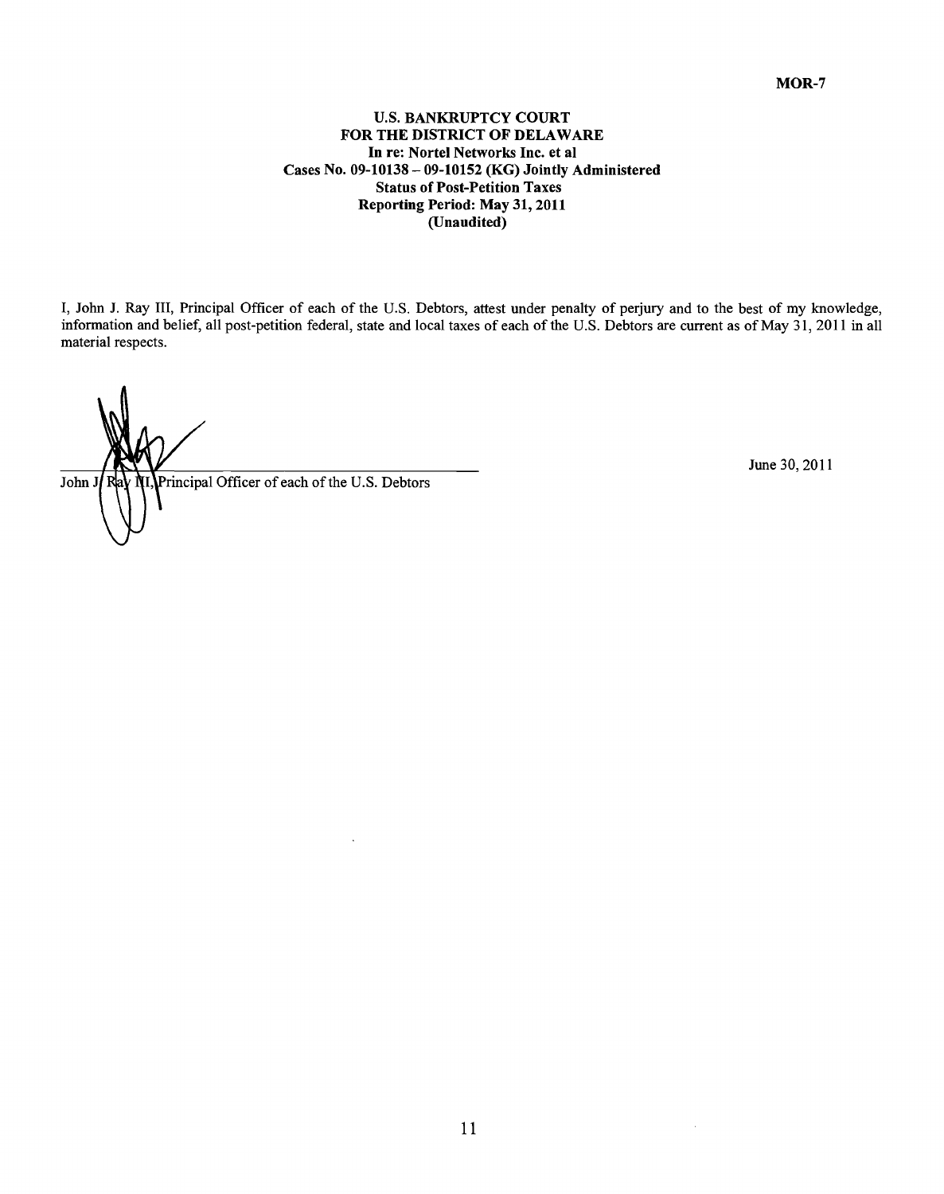## **U.S. BANKRUPTCY COURT FOR THE DISTRICT OF DELAWARE** In re: Nortel Networks Inc. et al Cases No. **09-10138 - 09-10152 (KG) Jointly Administered** Status of Post-Petition Taxes Reporting Period: May **31,** 2011 (Unaudited)

**1,** John **J.** Ray **111,** Principal Officer of each of the **U.S.** Debtors, attest under penalty of perjury and to the best of my knowledge, information and belief, all post-petition federal, state and local taxes of each of the **U.S.** Debtors are current as of May **31,** 2011 in all material respects.

Fincipal Officer of each of the U.S. Debtors June 30, 2011 John J